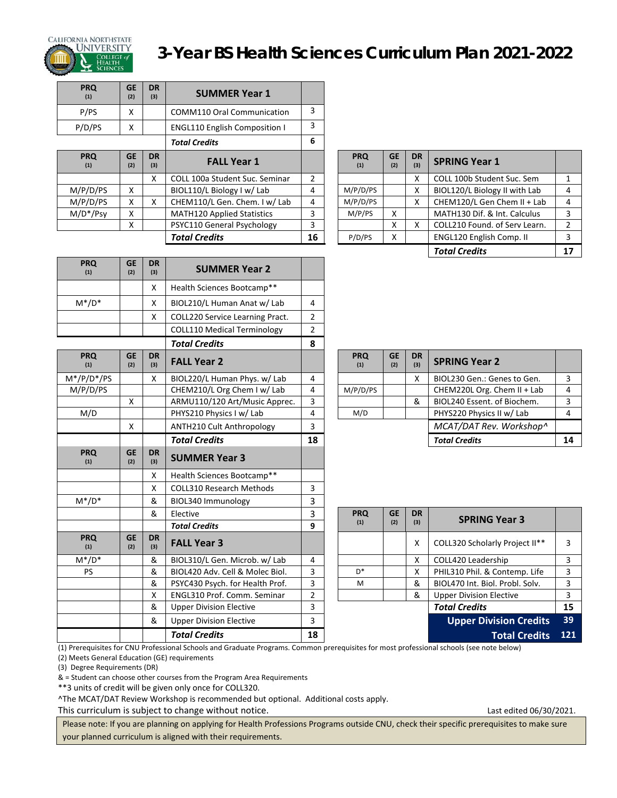

**PRQ (1)**

**PRQ (1)**

**PRQ (1)**

**PRQ (1)** 

**GE (2)**

**GE (2)**

**DR** 

**DR** 

## CALIFORNIA NORTHSTATE<br>**Alifornia Northstate** 3-Year BS Health Sciences Curriculum Plan 2021-2022

| <b>PRQ</b><br>(1) | <b>GE</b><br>(2) | <b>DR</b><br>(3) | <b>SUMMER Year 1</b>                 |                |                   |                  |                  |                                 |
|-------------------|------------------|------------------|--------------------------------------|----------------|-------------------|------------------|------------------|---------------------------------|
| P/PS              | x                |                  | <b>COMM110 Oral Communication</b>    | 3              |                   |                  |                  |                                 |
| P/D/PS            | X                |                  | <b>ENGL110 English Composition I</b> | 3              |                   |                  |                  |                                 |
|                   |                  |                  | <b>Total Credits</b>                 | 6              |                   |                  |                  |                                 |
| <b>PRQ</b><br>(1) | <b>GE</b><br>(2) | <b>DR</b><br>(3) | <b>FALL Year 1</b>                   |                | <b>PRQ</b><br>(1) | <b>GE</b><br>(2) | <b>DR</b><br>(3) | <b>SPRING Year 1</b>            |
|                   |                  | x                | COLL 100a Student Suc. Seminar       | $\overline{2}$ |                   |                  | x                | COLL 100b Student Suc. Sem      |
| M/P/D/PS          | X.               |                  | BIOL110/L Biology I w/ Lab           | 4              | M/P/D/PS          |                  | x                | BIOL120/L Biology II with Lab   |
| M/P/D/PS          | x                | x                | CHEM110/L Gen. Chem. I w/ Lab        | 4              | M/P/D/PS          |                  | x                | CHEM120/L Gen Chem II + Lab     |
| $M/D*/Psv$        | x                |                  | <b>MATH120 Applied Statistics</b>    | 3              | M/P/PS            | x                |                  | MATH130 Dif. & Int. Calculus    |
|                   | x                |                  | PSYC110 General Psychology           | 3              |                   | x                | x                | COLL210 Found, of Serv Learn.   |
|                   |                  |                  | <b>Total Credits</b>                 | 16             | P/D/PS            | x                |                  | <b>ENGL120 English Comp. II</b> |

**(3) SUMMER Year 2**

X | COLL220 Service Learning Pract. | 2 COLL110 Medical Terminology 2 *Total Credits*  **8**

X Health Sciences Bootcamp\*\*

X | COLL310 Research Methods | 3

X | Health Sciences Bootcamp\*\*

 $M^*/D^*$  | X | BIOL210/L Human Anat w/ Lab | 4

 $M*/P/D*/PS$  | X | BIOL220/L Human Phys. w/ Lab | 4 M/P/D/PS  $\begin{array}{|c|c|c|c|c|c|c|c|c|}\n\hline\n\text{M/P/D/PS} & \text{CHEM210/L Org Chem I w/Lab} & \text{4} \\
\hline\n\end{array}$ 

**(3) SUMMER Year 3**

M\*/D\* & BIOL340 Immunology 3

**FALL Year 3** M\*/D\* & BIOL310/L Gen. Microb. w/ Lab 4 X COLL420 Leadership 3 PS | & BIOL420 Adv. Cell & Molec Biol. | 3

| ١Q    | <b>GE</b><br>(2) | <b>DR</b><br>(3) | <b>FALL Year 1</b>                |    | <b>PRQ</b><br>(1) | <b>GE</b><br>(2) | <b>DR</b><br>(3) | <b>SPRING Year 1</b>            |   |
|-------|------------------|------------------|-----------------------------------|----|-------------------|------------------|------------------|---------------------------------|---|
|       |                  | X                | COLL 100a Student Suc. Seminar    | 2  |                   |                  | Χ                | COLL 100b Student Suc. Sem      |   |
| D/PS  | X                |                  | BIOL110/L Biology I w/ Lab        | 4  | M/P/D/PS          |                  | x                | BIOL120/L Biology II with Lab   | 4 |
| 'D/PS | Χ                |                  | CHEM110/L Gen. Chem. I w/ Lab     | 4  | M/P/D/PS          |                  | X                | CHEM120/L Gen Chem II + Lab     | 4 |
| */Psy | X                |                  | <b>MATH120 Applied Statistics</b> | 3  | M/P/PS            | x                |                  | MATH130 Dif. & Int. Calculus    | 3 |
|       | Χ                |                  | PSYC110 General Psychology        | 3  |                   | Χ                | x                | COLL210 Found. of Serv Learn.   |   |
|       |                  |                  | <b>Total Credits</b>              | 16 | P/D/PS            | X                |                  | <b>ENGL120 English Comp. II</b> |   |
|       |                  |                  |                                   |    |                   |                  |                  | <b>Total Credits</b>            |   |

| ١Q     | <b>GE</b><br>(2) | <b>DR</b><br>(3) | <b>FALL Year 2</b>            |    | <b>PRQ</b><br>(1) | <b>GE</b><br>(2) | <b>DR</b><br>(3) | <b>SPRING Year 2</b>        |    |
|--------|------------------|------------------|-------------------------------|----|-------------------|------------------|------------------|-----------------------------|----|
| 'D*/PS |                  | x                | BIOL220/L Human Phys. w/ Lab  | 4  |                   |                  | x                | BIOL230 Gen.: Genes to Gen. |    |
| 'D/PS  |                  |                  | CHEM210/L Org Chem I w/ Lab   | 4  | M/P/D/PS          |                  |                  | CHEM220L Org. Chem II + Lab | 4  |
|        | X                |                  | ARMU110/120 Art/Music Apprec. |    |                   |                  | &                | BIOL240 Essent. of Biochem. |    |
| /D.    |                  |                  | PHYS210 Physics I w/ Lab      |    | M/D               |                  |                  | PHYS220 Physics II w/ Lab   |    |
|        | X                |                  | ANTH210 Cult Anthropology     |    |                   |                  |                  | MCAT/DAT Rev. Workshop^     |    |
|        |                  |                  | <b>Total Credits</b>          | 18 |                   |                  |                  | <b>Total Credits</b>        | 14 |

|        |                  | &                | Elective                        |    | <b>PRQ</b> | <b>GE</b> | <b>DR</b> | <b>SPRING Year 3</b>            |            |
|--------|------------------|------------------|---------------------------------|----|------------|-----------|-----------|---------------------------------|------------|
|        |                  |                  | <b>Total Credits</b>            | 9  | (1)        | (2)       | (3)       |                                 |            |
| ١Q     | <b>GE</b><br>(2) | <b>DR</b><br>(3) | <b>FALL Year 3</b>              |    |            |           | x         | COLL320 Scholarly Project II**  | 3          |
| $/D^*$ |                  | &                | BIOL310/L Gen. Microb. w/ Lab   | 4  |            |           | x         | COLL420 Leadership              | 3          |
| S.     |                  | &                | BIOL420 Adv. Cell & Molec Biol. | 3  | $D^*$      |           | x         | PHIL310 Phil. & Contemp. Life   | 3          |
|        |                  | &                | PSYC430 Psych. for Health Prof. | 3  | M          |           | &         | BIOL470 Int. Biol. Probl. Solv. | 3          |
|        |                  | x                | ENGL310 Prof. Comm. Seminar     |    |            |           | &         | <b>Upper Division Elective</b>  | 3          |
|        |                  | &                | <b>Upper Division Elective</b>  | 3  |            |           |           | <b>Total Credits</b>            | 15         |
|        |                  | &                | <b>Upper Division Elective</b>  | 3  |            |           |           | <b>Upper Division Credits</b>   | 39         |
|        |                  |                  | <b>Total Credits</b>            | 18 |            |           |           | <b>Total Credits</b>            | <b>121</b> |

(1) Prerequisites for CNU Professional Schools and Graduate Programs. Common prerequisites for most professional schools (see note below)

(2) Meets General Education (GE) requirements (3) Degree Requirements (DR)

& = Student can choose other courses from the Program Area Requirements

\*\*3 units of credit will be given only once for COLL320.

^The MCAT/DAT Review Workshop is recommended but optional. Additional costs apply.

This curriculum is subject to change without notice. This curriculum is subject to change without notice.

Please note: If you are planning on applying for Health Professions Programs outside CNU, check their specific prerequisites to make sure your planned curriculum is aligned with their requirements.